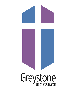# Greystone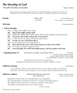# **The Worship of God**  Fourth Sunday of Easter May 8, 2022

*All are invited to sing during worship! Masks are recommended but not required. For anyone who would like to wear a mask but does not have one, they are available at the back of the sanctuary.* 

**Prelude Prelude Prelude Prelude Example 2018 EXECUTE: Prelude EXECUTE: By Paul Baloche and** Pam Weis **Lenny LeBlanc, arr. Mark Hayes** 

**Welcome Christian McIvor Christian McIvor Christian McIvor** 

# **☦ Call to Worship**

One: O sing to the LORD a new song;

- **All: Sing to the LORD, all the earth.**
- One: Sing to the LORD, bless God's name; tell of God's salvation from day to day.
- **All: For great is the LORD, and greatly to be praised.**
- One: Let the heavens be glad, and let the earth rejoice;
- **All: Let the sea roar, and all that fills it;**
- One: Let the field exult, and everything in it.
- **All: Then shall all the trees of the forest sing for joy before the LORD;**
- One: For God is coming to judge the earth.
- **All: God will judge the world with righteousness, and the peoples with truth.**

### *†* **Opening Hymn 33** The "Immortal, Invisible, God Only Wise" ST.DENIO; Words by Walter Chalmers Smith,

 Music Traditional Welsh Hymn melody from John Roberts' *Canaidau y Cyssegr*, 1839

*During the last stanza of our opening hymn, all children are invited to come forward for today's children's sermon.* 

# **Children's Sermon** *April Alston**April Alston**April Alston**April Alston**April Alston*

 *As our offertory anthem is sung, please feel free to move about to place your offering in the plate in the back of the sanctuary, or you can give online at [greystonechurch.org.](http://greystonechurch.org/)* 

**Offertory Anthem** "Behold the Rising of the Son" Words by Douglas Nolan,<br>GBC Adult Choir Music by Lloyd Larson

Music by Lloyd Larson

Behold the rising of the Son in golden glory now displayed, The shadowed gray of hatred's tomb now covered in the light of grace. The night that once had ruled our hearts surrenders to the dawn. The silence of the grave gives way to joyful song.

(cont'd next page)

☦ Please rise in body or spirit.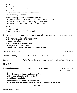| Refrain:<br>Alleluia! Alleluia!<br>Alleluia! Alleluia!<br>Behold the rising of the Son.                                                                   | Sing out with joyful praise. Let ev'ry voice be raised.<br>Speak to the skies the wonders God has done,                                                                                                                                                      |                                              |
|-----------------------------------------------------------------------------------------------------------------------------------------------------------|--------------------------------------------------------------------------------------------------------------------------------------------------------------------------------------------------------------------------------------------------------------|----------------------------------------------|
|                                                                                                                                                           | Behold the rising of the Son as morning gilds the sky.<br>The garden stands restored by love, surrounded by the fruits of life.<br>The tears that fell in grief and pain are joyously transformed.<br>The barren trees of winter are with color now adorned. |                                              |
| (Refrain)                                                                                                                                                 |                                                                                                                                                                                                                                                              |                                              |
| Alleluia! Alleluia!<br>Behold the rising of the Son, God's Son!                                                                                           |                                                                                                                                                                                                                                                              |                                              |
| † Doxology<br>praise Christ, all people here below;<br>O praise God! Alleluia!<br>Praise God above, ye heavenly host;<br>Creator, Christ, and Holy Ghost. | "Praise God from Whom All Blessings Flow"<br>Praise God, from whom all blessings flow;<br>O praise God! O praise God! Alleluia! Alleluia! Alleluia!                                                                                                          | <b>LASST UNS ERFREUEN</b>                    |
| <b>Prayer of Dedication</b>                                                                                                                               |                                                                                                                                                                                                                                                              | Will Moody                                   |
| <b>Scripture Reading</b>                                                                                                                                  | Genesis 1:26-31 & 2:4-8                                                                                                                                                                                                                                      | Ron Thompson                                 |
| <b>Sermon</b>                                                                                                                                             | "The Whole World is in Our Hands"                                                                                                                                                                                                                            | Chrissy Tatum Williamson                     |
| <b>Silent Reflection</b>                                                                                                                                  |                                                                                                                                                                                                                                                              |                                              |
| <b><i><u><b><u>t</u></b></u></i></b> Musical Reflection                                                                                                   | "Earth: Beloved Community"                                                                                                                                                                                                                                   | Words and Music by<br>Christian McIvor ©2018 |
| Verse: 1<br>We will reap just what we sow.                                                                                                                | Through seasons of drought and seasons of rain,<br>will we be weakened or will we sustain?                                                                                                                                                                   |                                              |
|                                                                                                                                                           | As the heavens drip and the gardens sprout,<br>the mountains quake and the stones cry out, let your rivers of justice flow.                                                                                                                                  |                                              |
|                                                                                                                                                           | (cont'd next page)                                                                                                                                                                                                                                           |                                              |

☦ Please rise in body or spirit.